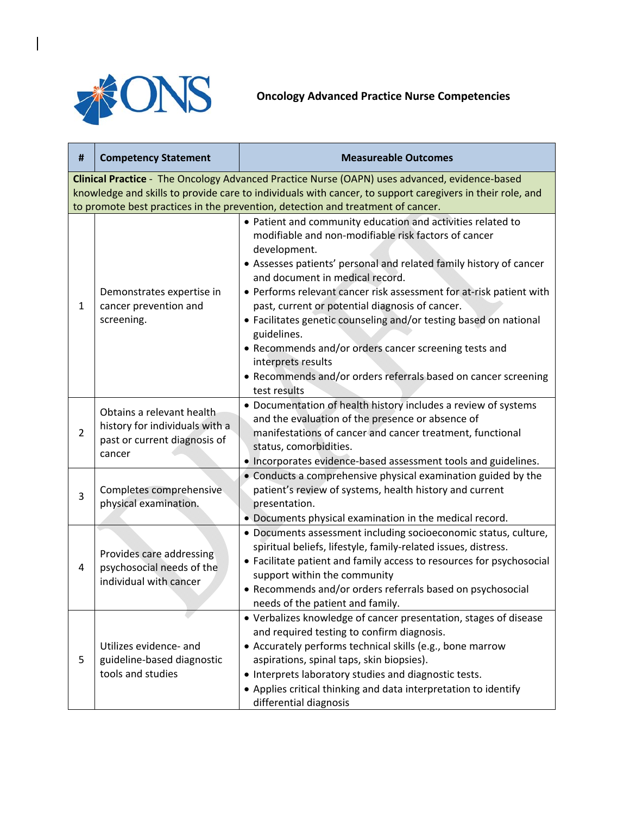

 $\begin{array}{c} \hline \end{array}$ 

**Oncology Advanced Practice Nurse Competencies** 

| #                                                                                                                                                                                                                                                                                             | <b>Competency Statement</b>                                                                           | <b>Measureable Outcomes</b>                                                                                                                                                                                                                                                                                                                                                                                                                                                                                                                                                                                                 |
|-----------------------------------------------------------------------------------------------------------------------------------------------------------------------------------------------------------------------------------------------------------------------------------------------|-------------------------------------------------------------------------------------------------------|-----------------------------------------------------------------------------------------------------------------------------------------------------------------------------------------------------------------------------------------------------------------------------------------------------------------------------------------------------------------------------------------------------------------------------------------------------------------------------------------------------------------------------------------------------------------------------------------------------------------------------|
| Clinical Practice - The Oncology Advanced Practice Nurse (OAPN) uses advanced, evidence-based<br>knowledge and skills to provide care to individuals with cancer, to support caregivers in their role, and<br>to promote best practices in the prevention, detection and treatment of cancer. |                                                                                                       |                                                                                                                                                                                                                                                                                                                                                                                                                                                                                                                                                                                                                             |
| $\mathbf{1}$                                                                                                                                                                                                                                                                                  | Demonstrates expertise in<br>cancer prevention and<br>screening.                                      | • Patient and community education and activities related to<br>modifiable and non-modifiable risk factors of cancer<br>development.<br>• Assesses patients' personal and related family history of cancer<br>and document in medical record.<br>• Performs relevant cancer risk assessment for at-risk patient with<br>past, current or potential diagnosis of cancer.<br>• Facilitates genetic counseling and/or testing based on national<br>guidelines.<br>• Recommends and/or orders cancer screening tests and<br>interprets results<br>• Recommends and/or orders referrals based on cancer screening<br>test results |
| $\overline{2}$                                                                                                                                                                                                                                                                                | Obtains a relevant health<br>history for individuals with a<br>past or current diagnosis of<br>cancer | • Documentation of health history includes a review of systems<br>and the evaluation of the presence or absence of<br>manifestations of cancer and cancer treatment, functional<br>status, comorbidities.<br>. Incorporates evidence-based assessment tools and guidelines.                                                                                                                                                                                                                                                                                                                                                 |
| 3                                                                                                                                                                                                                                                                                             | Completes comprehensive<br>physical examination.                                                      | • Conducts a comprehensive physical examination guided by the<br>patient's review of systems, health history and current<br>presentation.<br>• Documents physical examination in the medical record.                                                                                                                                                                                                                                                                                                                                                                                                                        |
| 4                                                                                                                                                                                                                                                                                             | Provides care addressing<br>psychosocial needs of the<br>individual with cancer                       | · Documents assessment including socioeconomic status, culture,<br>spiritual beliefs, lifestyle, family-related issues, distress.<br>• Facilitate patient and family access to resources for psychosocial<br>support within the community<br>• Recommends and/or orders referrals based on psychosocial<br>needs of the patient and family.                                                                                                                                                                                                                                                                                 |
| 5                                                                                                                                                                                                                                                                                             | Utilizes evidence- and<br>guideline-based diagnostic<br>tools and studies                             | • Verbalizes knowledge of cancer presentation, stages of disease<br>and required testing to confirm diagnosis.<br>• Accurately performs technical skills (e.g., bone marrow<br>aspirations, spinal taps, skin biopsies).<br>• Interprets laboratory studies and diagnostic tests.<br>• Applies critical thinking and data interpretation to identify<br>differential diagnosis                                                                                                                                                                                                                                              |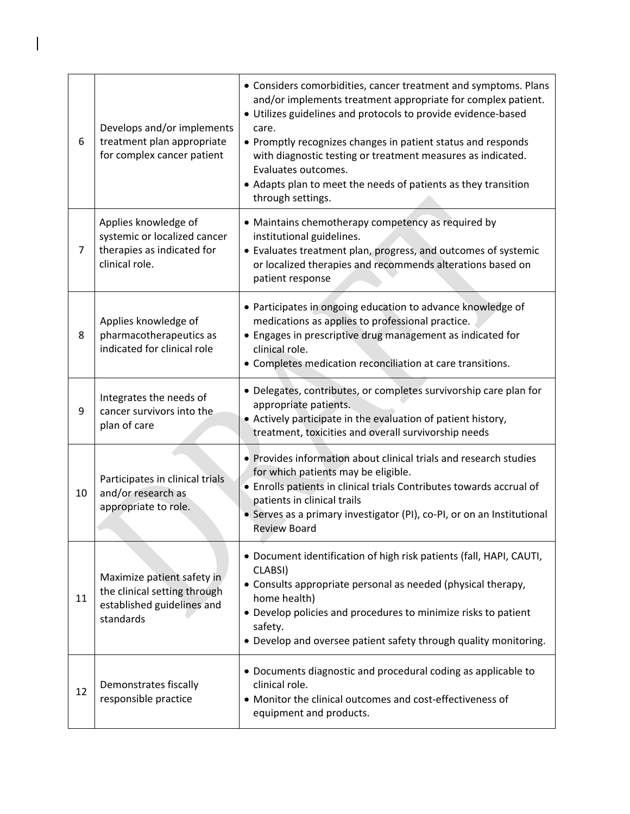| 6  | Develops and/or implements<br>treatment plan appropriate<br>for complex cancer patient                | • Considers comorbidities, cancer treatment and symptoms. Plans<br>and/or implements treatment appropriate for complex patient.<br>• Utilizes guidelines and protocols to provide evidence-based<br>care.<br>• Promptly recognizes changes in patient status and responds<br>with diagnostic testing or treatment measures as indicated.<br>Evaluates outcomes.<br>• Adapts plan to meet the needs of patients as they transition<br>through settings. |
|----|-------------------------------------------------------------------------------------------------------|--------------------------------------------------------------------------------------------------------------------------------------------------------------------------------------------------------------------------------------------------------------------------------------------------------------------------------------------------------------------------------------------------------------------------------------------------------|
| 7  | Applies knowledge of<br>systemic or localized cancer<br>therapies as indicated for<br>clinical role.  | • Maintains chemotherapy competency as required by<br>institutional guidelines.<br>• Evaluates treatment plan, progress, and outcomes of systemic<br>or localized therapies and recommends alterations based on<br>patient response                                                                                                                                                                                                                    |
| 8  | Applies knowledge of<br>pharmacotherapeutics as<br>indicated for clinical role                        | • Participates in ongoing education to advance knowledge of<br>medications as applies to professional practice.<br>• Engages in prescriptive drug management as indicated for<br>clinical role.<br>• Completes medication reconciliation at care transitions.                                                                                                                                                                                          |
| 9  | Integrates the needs of<br>cancer survivors into the<br>plan of care                                  | • Delegates, contributes, or completes survivorship care plan for<br>appropriate patients.<br>• Actively participate in the evaluation of patient history,<br>treatment, toxicities and overall survivorship needs                                                                                                                                                                                                                                     |
| 10 | Participates in clinical trials<br>and/or research as<br>appropriate to role.                         | • Provides information about clinical trials and research studies<br>for which patients may be eligible.<br>• Enrolls patients in clinical trials Contributes towards accrual of<br>patients in clinical trails<br>• Serves as a primary investigator (PI), co-PI, or on an Institutional<br><b>Review Board</b>                                                                                                                                       |
| 11 | Maximize patient safety in<br>the clinical setting through<br>established guidelines and<br>standards | · Document identification of high risk patients (fall, HAPI, CAUTI,<br>CLABSI)<br>• Consults appropriate personal as needed (physical therapy,<br>home health)<br>• Develop policies and procedures to minimize risks to patient<br>safety.<br>• Develop and oversee patient safety through quality monitoring.                                                                                                                                        |
| 12 | Demonstrates fiscally<br>responsible practice                                                         | • Documents diagnostic and procedural coding as applicable to<br>clinical role.<br>• Monitor the clinical outcomes and cost-effectiveness of<br>equipment and products.                                                                                                                                                                                                                                                                                |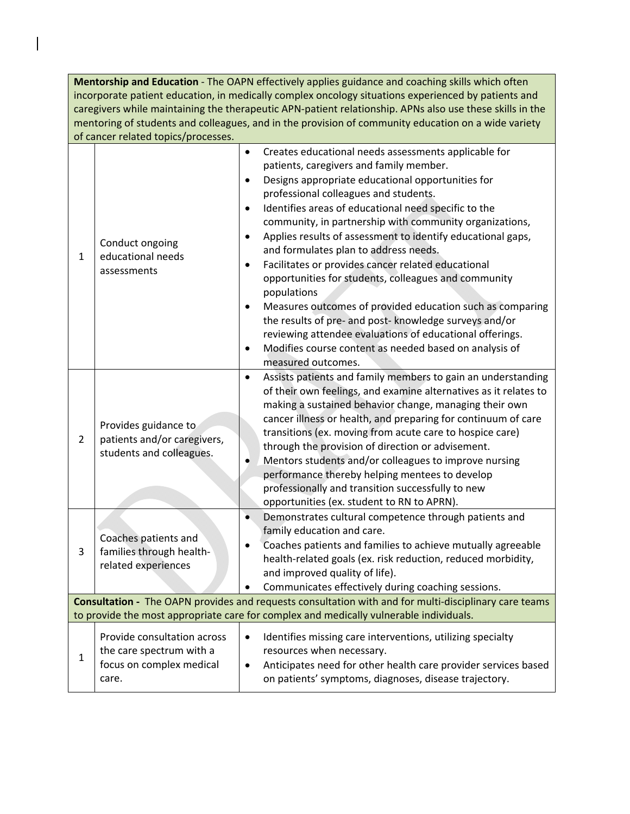**Mentorship and Education** ‐ The OAPN effectively applies guidance and coaching skills which often incorporate patient education, in medically complex oncology situations experienced by patients and caregivers while maintaining the therapeutic APN‐patient relationship. APNs also use these skills in the mentoring of students and colleagues, and in the provision of community education on a wide variety of cancer related topics/processes.

| $\mathbf{1}$                                                                                                                                                                                           | Conduct ongoing<br>educational needs<br>assessments                                          | Creates educational needs assessments applicable for<br>$\bullet$<br>patients, caregivers and family member.<br>Designs appropriate educational opportunities for<br>$\bullet$<br>professional colleagues and students.<br>Identifies areas of educational need specific to the<br>$\bullet$<br>community, in partnership with community organizations,<br>Applies results of assessment to identify educational gaps,<br>$\bullet$<br>and formulates plan to address needs.<br>Facilitates or provides cancer related educational<br>$\bullet$<br>opportunities for students, colleagues and community<br>populations<br>Measures outcomes of provided education such as comparing<br>$\bullet$<br>the results of pre- and post- knowledge surveys and/or<br>reviewing attendee evaluations of educational offerings.<br>Modifies course content as needed based on analysis of<br>$\bullet$ |
|--------------------------------------------------------------------------------------------------------------------------------------------------------------------------------------------------------|----------------------------------------------------------------------------------------------|-----------------------------------------------------------------------------------------------------------------------------------------------------------------------------------------------------------------------------------------------------------------------------------------------------------------------------------------------------------------------------------------------------------------------------------------------------------------------------------------------------------------------------------------------------------------------------------------------------------------------------------------------------------------------------------------------------------------------------------------------------------------------------------------------------------------------------------------------------------------------------------------------|
| $\overline{2}$                                                                                                                                                                                         | Provides guidance to<br>patients and/or caregivers,<br>students and colleagues.              | measured outcomes.<br>Assists patients and family members to gain an understanding<br>$\bullet$<br>of their own feelings, and examine alternatives as it relates to<br>making a sustained behavior change, managing their own<br>cancer illness or health, and preparing for continuum of care<br>transitions (ex. moving from acute care to hospice care)<br>through the provision of direction or advisement.<br>Mentors students and/or colleagues to improve nursing<br>$\bullet$<br>performance thereby helping mentees to develop<br>professionally and transition successfully to new<br>opportunities (ex. student to RN to APRN).                                                                                                                                                                                                                                                    |
| 3                                                                                                                                                                                                      | Coaches patients and<br>families through health-<br>related experiences                      | Demonstrates cultural competence through patients and<br>$\bullet$<br>family education and care.<br>Coaches patients and families to achieve mutually agreeable<br>health-related goals (ex. risk reduction, reduced morbidity,<br>and improved quality of life).<br>Communicates effectively during coaching sessions.                                                                                                                                                                                                                                                                                                                                                                                                                                                                                                                                                                       |
| <b>Consultation -</b> The OAPN provides and requests consultation with and for multi-disciplinary care teams<br>to provide the most appropriate care for complex and medically vulnerable individuals. |                                                                                              |                                                                                                                                                                                                                                                                                                                                                                                                                                                                                                                                                                                                                                                                                                                                                                                                                                                                                               |
| 1                                                                                                                                                                                                      | Provide consultation across<br>the care spectrum with a<br>focus on complex medical<br>care. | Identifies missing care interventions, utilizing specialty<br>resources when necessary.<br>Anticipates need for other health care provider services based<br>$\bullet$<br>on patients' symptoms, diagnoses, disease trajectory.                                                                                                                                                                                                                                                                                                                                                                                                                                                                                                                                                                                                                                                               |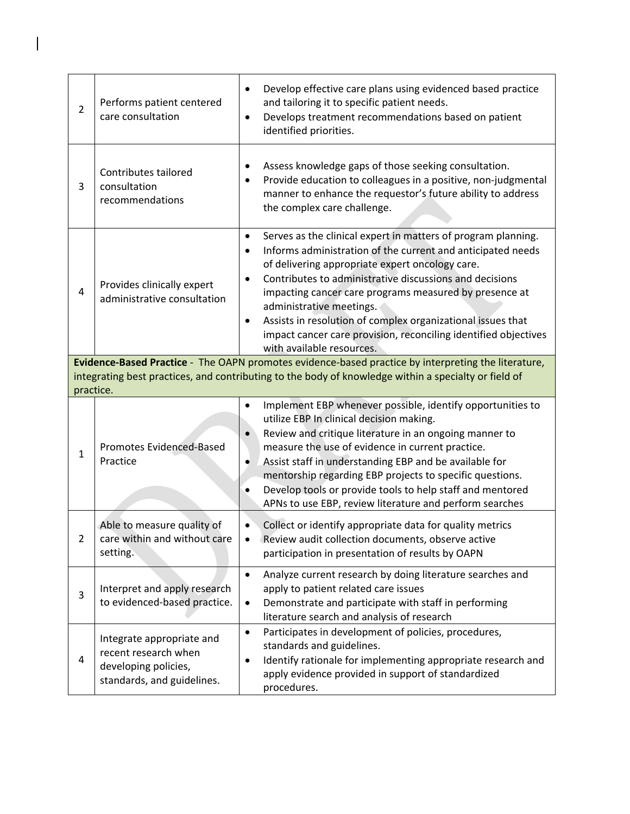| $\overline{2}$ | Performs patient centered<br>care consultation                                                          | Develop effective care plans using evidenced based practice<br>$\bullet$<br>and tailoring it to specific patient needs.<br>Develops treatment recommendations based on patient<br>$\bullet$<br>identified priorities.                                                                                                                                                                                                                                                                                                                               |
|----------------|---------------------------------------------------------------------------------------------------------|-----------------------------------------------------------------------------------------------------------------------------------------------------------------------------------------------------------------------------------------------------------------------------------------------------------------------------------------------------------------------------------------------------------------------------------------------------------------------------------------------------------------------------------------------------|
| 3              | Contributes tailored<br>consultation<br>recommendations                                                 | Assess knowledge gaps of those seeking consultation.<br>٠<br>Provide education to colleagues in a positive, non-judgmental<br>manner to enhance the requestor's future ability to address<br>the complex care challenge.                                                                                                                                                                                                                                                                                                                            |
| $\overline{4}$ | Provides clinically expert<br>administrative consultation                                               | Serves as the clinical expert in matters of program planning.<br>$\bullet$<br>Informs administration of the current and anticipated needs<br>$\bullet$<br>of delivering appropriate expert oncology care.<br>Contributes to administrative discussions and decisions<br>$\bullet$<br>impacting cancer care programs measured by presence at<br>administrative meetings.<br>Assists in resolution of complex organizational issues that<br>$\bullet$<br>impact cancer care provision, reconciling identified objectives<br>with available resources. |
|                |                                                                                                         | Evidence-Based Practice - The OAPN promotes evidence-based practice by interpreting the literature,<br>integrating best practices, and contributing to the body of knowledge within a specialty or field of                                                                                                                                                                                                                                                                                                                                         |
| practice.      |                                                                                                         |                                                                                                                                                                                                                                                                                                                                                                                                                                                                                                                                                     |
| $\mathbf{1}$   | <b>Promotes Evidenced-Based</b><br>Practice                                                             | Implement EBP whenever possible, identify opportunities to<br>$\bullet$<br>utilize EBP In clinical decision making.<br>Review and critique literature in an ongoing manner to<br>$\bullet$<br>measure the use of evidence in current practice.<br>Assist staff in understanding EBP and be available for<br>$\bullet$<br>mentorship regarding EBP projects to specific questions.<br>Develop tools or provide tools to help staff and mentored<br>$\bullet$<br>APNs to use EBP, review literature and perform searches                              |
| 2              | Able to measure quality of<br>care within and without care<br>setting.                                  | Collect or identify appropriate data for quality metrics<br>$\bullet$<br>Review audit collection documents, observe active<br>participation in presentation of results by OAPN                                                                                                                                                                                                                                                                                                                                                                      |
| 3              | Interpret and apply research<br>to evidenced-based practice.                                            | Analyze current research by doing literature searches and<br>$\bullet$<br>apply to patient related care issues<br>Demonstrate and participate with staff in performing<br>$\bullet$<br>literature search and analysis of research                                                                                                                                                                                                                                                                                                                   |
| $\overline{4}$ | Integrate appropriate and<br>recent research when<br>developing policies,<br>standards, and guidelines. | Participates in development of policies, procedures,<br>$\bullet$<br>standards and guidelines.<br>Identify rationale for implementing appropriate research and<br>apply evidence provided in support of standardized<br>procedures.                                                                                                                                                                                                                                                                                                                 |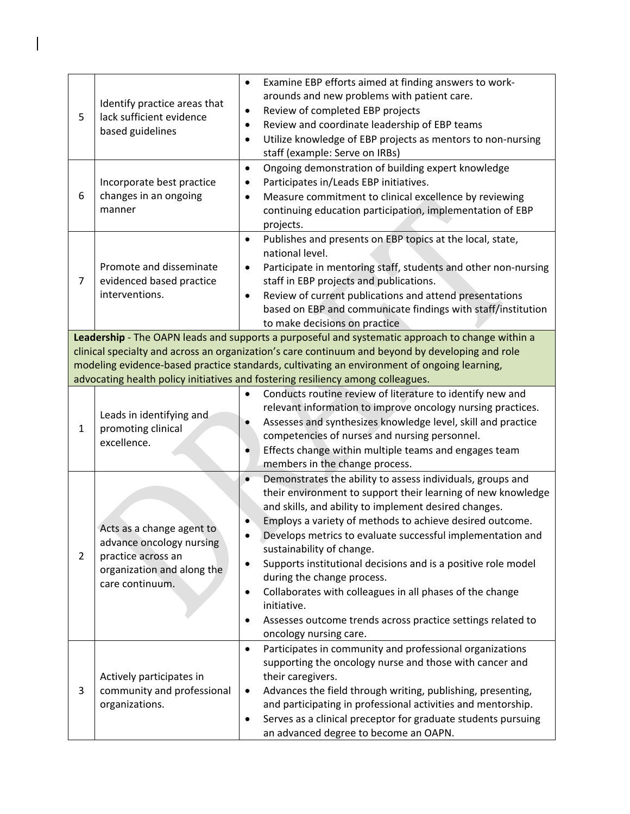| 5              | Identify practice areas that<br>lack sufficient evidence<br>based guidelines                                                 | Examine EBP efforts aimed at finding answers to work-<br>$\bullet$<br>arounds and new problems with patient care.<br>Review of completed EBP projects<br>$\bullet$<br>Review and coordinate leadership of EBP teams<br>$\bullet$<br>Utilize knowledge of EBP projects as mentors to non-nursing<br>$\bullet$<br>staff (example: Serve on IRBs)                                                                                                                                                                                                                                                                                                                    |
|----------------|------------------------------------------------------------------------------------------------------------------------------|-------------------------------------------------------------------------------------------------------------------------------------------------------------------------------------------------------------------------------------------------------------------------------------------------------------------------------------------------------------------------------------------------------------------------------------------------------------------------------------------------------------------------------------------------------------------------------------------------------------------------------------------------------------------|
| 6              | Incorporate best practice<br>changes in an ongoing<br>manner                                                                 | Ongoing demonstration of building expert knowledge<br>$\bullet$<br>Participates in/Leads EBP initiatives.<br>$\bullet$<br>Measure commitment to clinical excellence by reviewing<br>$\bullet$<br>continuing education participation, implementation of EBP<br>projects.                                                                                                                                                                                                                                                                                                                                                                                           |
| 7              | Promote and disseminate<br>evidenced based practice<br>interventions.                                                        | Publishes and presents on EBP topics at the local, state,<br>$\bullet$<br>national level.<br>Participate in mentoring staff, students and other non-nursing<br>$\bullet$<br>staff in EBP projects and publications.<br>Review of current publications and attend presentations<br>$\bullet$<br>based on EBP and communicate findings with staff/institution<br>to make decisions on practice                                                                                                                                                                                                                                                                      |
|                |                                                                                                                              | Leadership - The OAPN leads and supports a purposeful and systematic approach to change within a<br>clinical specialty and across an organization's care continuum and beyond by developing and role                                                                                                                                                                                                                                                                                                                                                                                                                                                              |
|                |                                                                                                                              | modeling evidence-based practice standards, cultivating an environment of ongoing learning,                                                                                                                                                                                                                                                                                                                                                                                                                                                                                                                                                                       |
|                |                                                                                                                              | advocating health policy initiatives and fostering resiliency among colleagues.                                                                                                                                                                                                                                                                                                                                                                                                                                                                                                                                                                                   |
| $\mathbf{1}$   | Leads in identifying and<br>promoting clinical<br>excellence.                                                                | Conducts routine review of literature to identify new and<br>$\bullet$<br>relevant information to improve oncology nursing practices.<br>Assesses and synthesizes knowledge level, skill and practice<br>competencies of nurses and nursing personnel.<br>Effects change within multiple teams and engages team<br>members in the change process.                                                                                                                                                                                                                                                                                                                 |
| $\overline{2}$ | Acts as a change agent to<br>advance oncology nursing<br>practice across an<br>organization and along the<br>care continuum. | Demonstrates the ability to assess individuals, groups and<br>$\bullet$<br>their environment to support their learning of new knowledge<br>and skills, and ability to implement desired changes.<br>Employs a variety of methods to achieve desired outcome.<br>Develops metrics to evaluate successful implementation and<br>sustainability of change.<br>Supports institutional decisions and is a positive role model<br>$\bullet$<br>during the change process.<br>Collaborates with colleagues in all phases of the change<br>$\bullet$<br>initiative.<br>Assesses outcome trends across practice settings related to<br>$\bullet$<br>oncology nursing care. |
| 3              | Actively participates in<br>community and professional<br>organizations.                                                     | Participates in community and professional organizations<br>$\bullet$<br>supporting the oncology nurse and those with cancer and<br>their caregivers.<br>Advances the field through writing, publishing, presenting,<br>$\bullet$<br>and participating in professional activities and mentorship.<br>Serves as a clinical preceptor for graduate students pursuing<br>$\bullet$<br>an advanced degree to become an OAPN.                                                                                                                                                                                                                                          |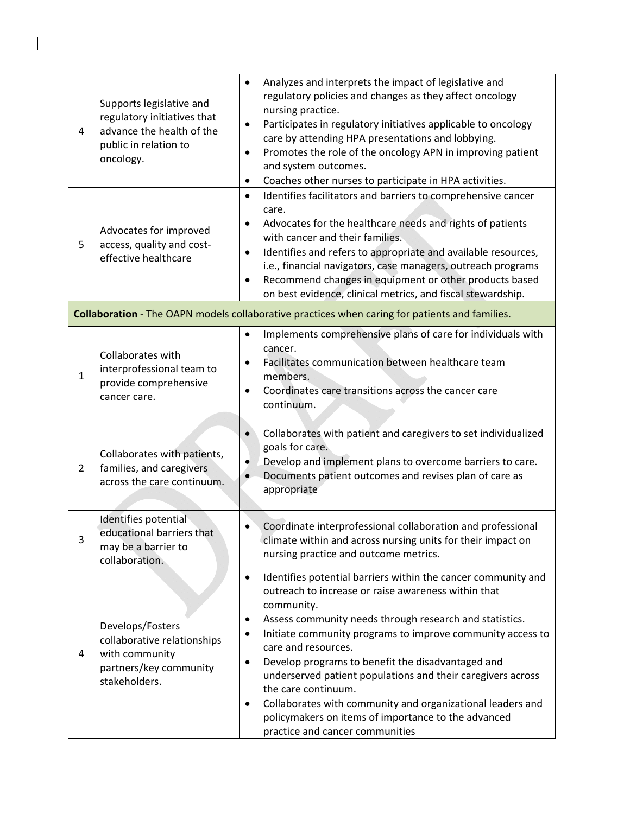| 4              | Supports legislative and<br>regulatory initiatives that<br>advance the health of the<br>public in relation to<br>oncology. | Analyzes and interprets the impact of legislative and<br>$\bullet$<br>regulatory policies and changes as they affect oncology<br>nursing practice.<br>Participates in regulatory initiatives applicable to oncology<br>$\bullet$<br>care by attending HPA presentations and lobbying.<br>Promotes the role of the oncology APN in improving patient<br>$\bullet$<br>and system outcomes.<br>Coaches other nurses to participate in HPA activities.<br>$\bullet$                                                                                                                                                                                        |
|----------------|----------------------------------------------------------------------------------------------------------------------------|--------------------------------------------------------------------------------------------------------------------------------------------------------------------------------------------------------------------------------------------------------------------------------------------------------------------------------------------------------------------------------------------------------------------------------------------------------------------------------------------------------------------------------------------------------------------------------------------------------------------------------------------------------|
| 5              | Advocates for improved<br>access, quality and cost-<br>effective healthcare                                                | Identifies facilitators and barriers to comprehensive cancer<br>$\bullet$<br>care.<br>Advocates for the healthcare needs and rights of patients<br>٠<br>with cancer and their families.<br>Identifies and refers to appropriate and available resources,<br>$\bullet$<br>i.e., financial navigators, case managers, outreach programs<br>Recommend changes in equipment or other products based<br>$\bullet$<br>on best evidence, clinical metrics, and fiscal stewardship.                                                                                                                                                                            |
|                |                                                                                                                            | Collaboration - The OAPN models collaborative practices when caring for patients and families.                                                                                                                                                                                                                                                                                                                                                                                                                                                                                                                                                         |
| $\mathbf{1}$   | Collaborates with<br>interprofessional team to<br>provide comprehensive<br>cancer care.                                    | Implements comprehensive plans of care for individuals with<br>$\bullet$<br>cancer.<br>Facilitates communication between healthcare team<br>$\bullet$<br>members.<br>Coordinates care transitions across the cancer care<br>$\bullet$<br>continuum.                                                                                                                                                                                                                                                                                                                                                                                                    |
| $\overline{2}$ | Collaborates with patients,<br>families, and caregivers<br>across the care continuum.                                      | Collaborates with patient and caregivers to set individualized<br>$\bullet$<br>goals for care.<br>Develop and implement plans to overcome barriers to care.<br>$\bullet$<br>Documents patient outcomes and revises plan of care as<br>appropriate                                                                                                                                                                                                                                                                                                                                                                                                      |
| 3              | Identifies potential<br>educational barriers that<br>may be a barrier to<br>collaboration.                                 | Coordinate interprofessional collaboration and professional<br>climate within and across nursing units for their impact on<br>nursing practice and outcome metrics.                                                                                                                                                                                                                                                                                                                                                                                                                                                                                    |
| 4              | Develops/Fosters<br>collaborative relationships<br>with community<br>partners/key community<br>stakeholders.               | Identifies potential barriers within the cancer community and<br>$\bullet$<br>outreach to increase or raise awareness within that<br>community.<br>Assess community needs through research and statistics.<br>$\bullet$<br>Initiate community programs to improve community access to<br>$\bullet$<br>care and resources.<br>Develop programs to benefit the disadvantaged and<br>$\bullet$<br>underserved patient populations and their caregivers across<br>the care continuum.<br>Collaborates with community and organizational leaders and<br>$\bullet$<br>policymakers on items of importance to the advanced<br>practice and cancer communities |